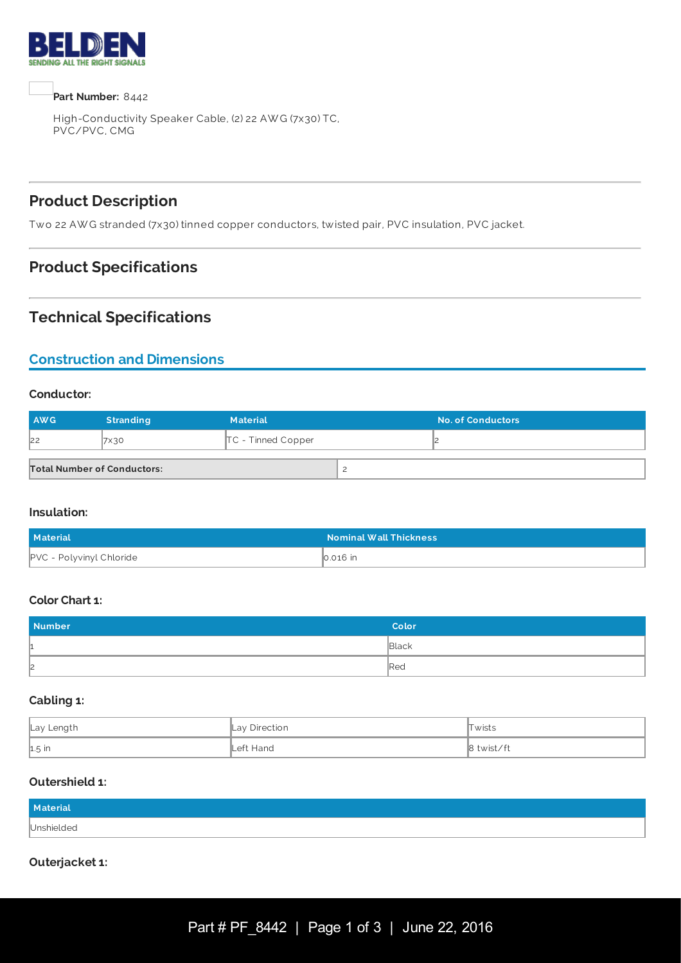



High-Conductivity Speaker Cable, (2) 22 AW G (7x30) TC, PVC/PVC, CMG

# **Product Description**

Two 22 AW G stranded (7x30) tinned copper conductors, twisted pair, PVC insulation, PVC jacket.

## **Product Specifications**

### **Technical Specifications**

# **Construction and Dimensions**

#### **Conductor:**

| <b>AWG</b>                         | <b>Stranding</b> | <b>Material</b>      | <b>No. of Conductors</b> |
|------------------------------------|------------------|----------------------|--------------------------|
| 22                                 | 7×30             | $TC$ - Tinned Copper |                          |
| <b>Total Number of Conductors:</b> |                  |                      |                          |

#### **Insulation:**

| <b>Material</b>                 | <b>Nominal Wall Thickness</b> |
|---------------------------------|-------------------------------|
| <b>PVC - Polyvinyl Chloride</b> | $\vert$ 0.016 $\vert$ n       |

#### **Color Chart 1:**

| <b>Number</b> | Color           |
|---------------|-----------------|
| ш.            | Black           |
| $\mathsf{2}$  | $\mathbb{R}$ ed |

#### **Cabling 1:**

| Lay Length | Lay Direction     | Twists     |
|------------|-------------------|------------|
| $1.5$ in   | <b>∟</b> eft Hand | 8 twist/ft |

#### **Outershield 1:**

| Material   |  |
|------------|--|
| Unshielded |  |

#### **Outerjacket 1:**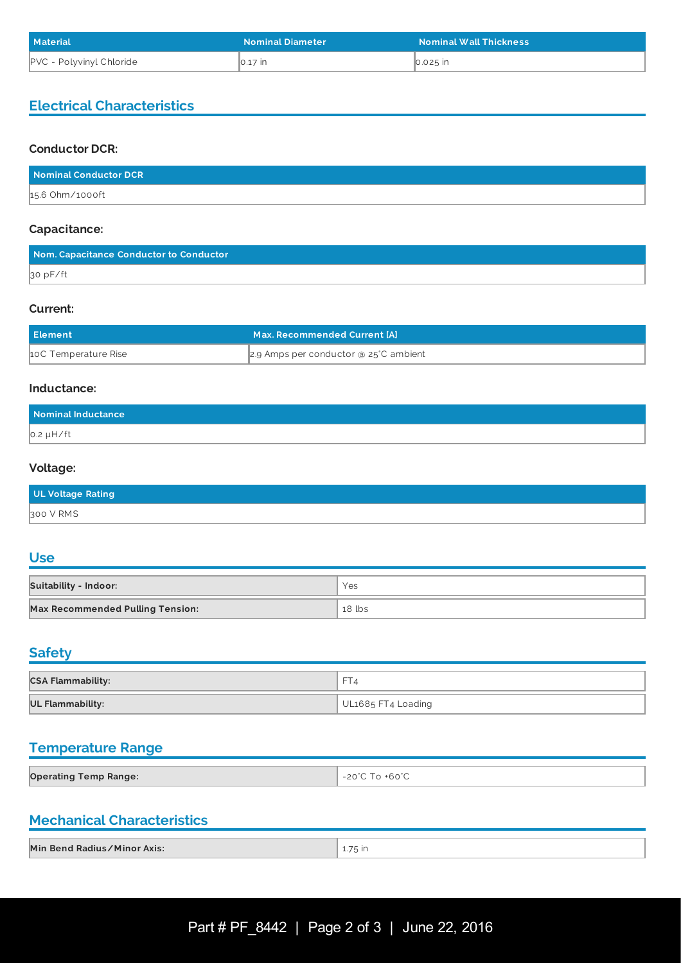| <b>Material</b>                 | <b>Nominal Diameter</b> | <b>Nominal Wall Thickness</b> |
|---------------------------------|-------------------------|-------------------------------|
| <b>PVC</b> - Polyvinyl Chloride | ∥0.17 in                | $\vert$ 0.025 $\vert$ in      |

### **Electrical Characteristics**

#### **Conductor DCR:**

| Nominal Conductor DCR |  |
|-----------------------|--|
| 15.6 Ohm/1000ft       |  |

#### **Capacitance:**

| Nom. Capacitance Conductor to Conductor |  |
|-----------------------------------------|--|
| $\beta$ o p $F/ft$                      |  |

#### **Current:**

| <b>Element</b>       | Max. Recommended Current [A]          |
|----------------------|---------------------------------------|
| 10C Temperature Rise | 2.9 Amps per conductor @ 25°C ambient |

#### **Inductance:**

| Nominal Inductance |  |
|--------------------|--|
| $0.2 \mu H / ft$   |  |

#### **Voltage:**

| UL Voltage Rating |  |
|-------------------|--|
| 300 V RMS         |  |

# **Use**

| <b>Suitability - Indoor:</b>            | Yes    |
|-----------------------------------------|--------|
| <b>Max Recommended Pulling Tension:</b> | 18 lbs |

# **Safety**

| <b>CSA Flammability:</b> | $-$<br>┚           |
|--------------------------|--------------------|
| <b>UL Flammability:</b>  | UL1685 FT4 Loading |

# **Temperature Range**

| <b>Operating Temp Range:</b> |  |
|------------------------------|--|
|                              |  |

# **Mechanical Characteristics**

| Min Bend Radius/Minor Axis: |       |
|-----------------------------|-------|
|                             | 75 in |